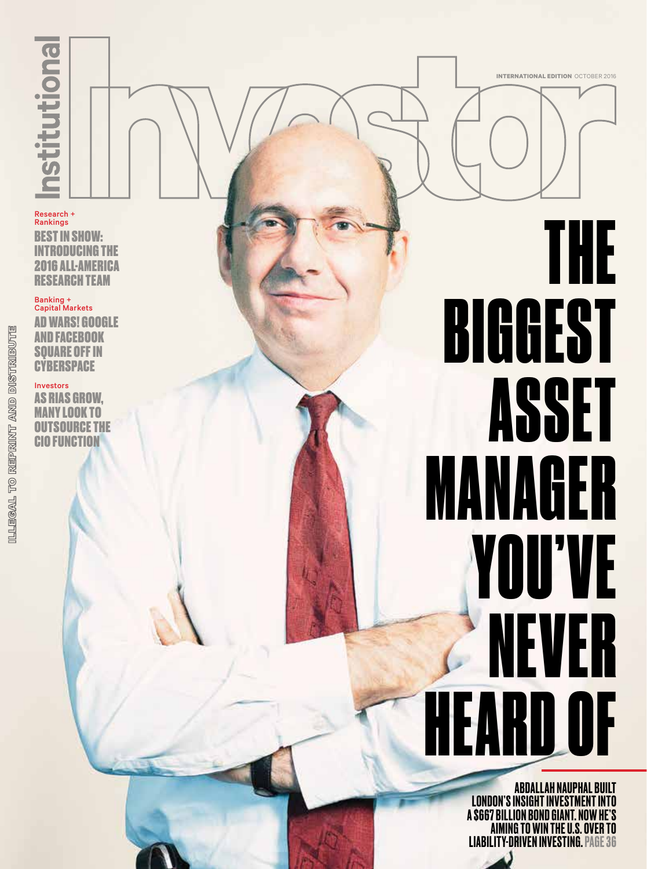Research + Rankings

BEST IN SHOW: INTRODUCING THE 2016 ALL-AMERICA RESEARCH TEAM

#### Banking + Capital Markets

AD WARS! GOOGLE AND FACEBOOK SQUARE OFF IN **CYBERSPACE** 

Investors AS RIAS GROW, MANY LOOK TO OUTSOURCE THE CIO FUNCTION

## THE BIGGEST ASSET MANAGER YOU'VE NEVER HEARD OF

**INTERNATIONAL EDITION** OCTOBER 2016

ABDALLAH NAUPHAL BUILT LONDON'S INSIGHT INVESTMENT INTO A \$667 BILLION BOND GIANT. NOW HE'S AIMING TO WIN THE U.S. OVER TO LIABILITY-DRIVEN INVESTING. PAGE 36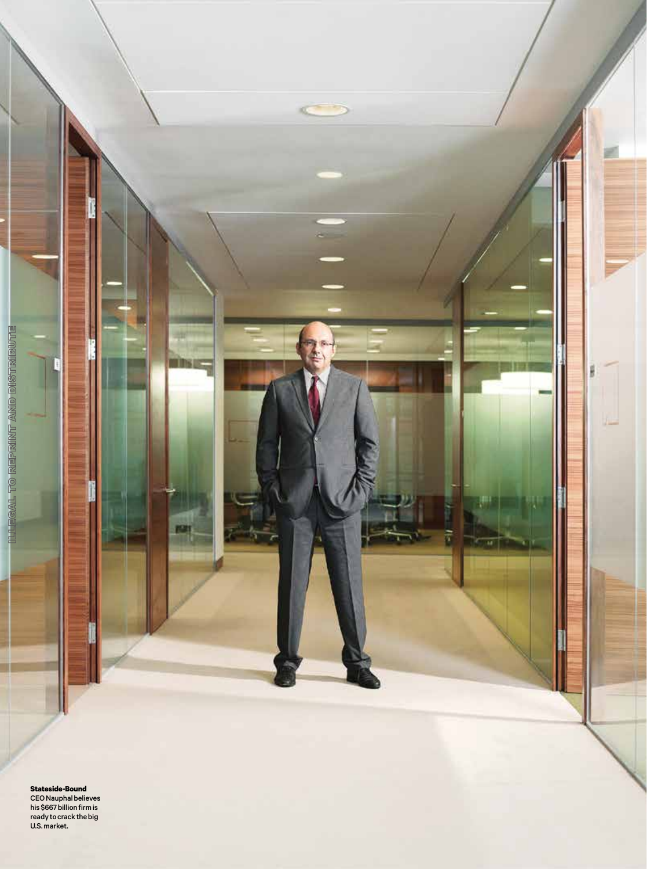

**Stateside-Bound** CEO Nauphal believes his \$667 billion firm is ready to crack the big U.S. market.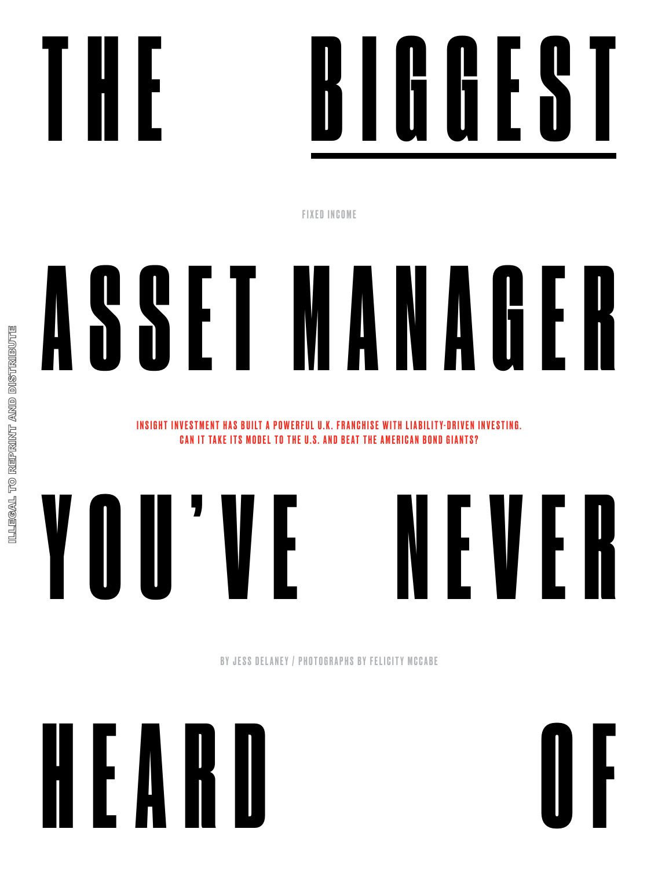



FIXED INCOME

# A S S E T M A N A G E R

INSIGHT INVESTMENT HAS BUILT A POWERFUL U.K. FRANCHISE WITH LIABILITY-DRIVEN INVESTING. CAN IT TAKE ITS MODEL TO THE U.S. AND BEAT THE AMERICAN BOND GIANTS?



BY JESS DELANEY / PHOTOGRAPHS BY FELICITY MCCABE

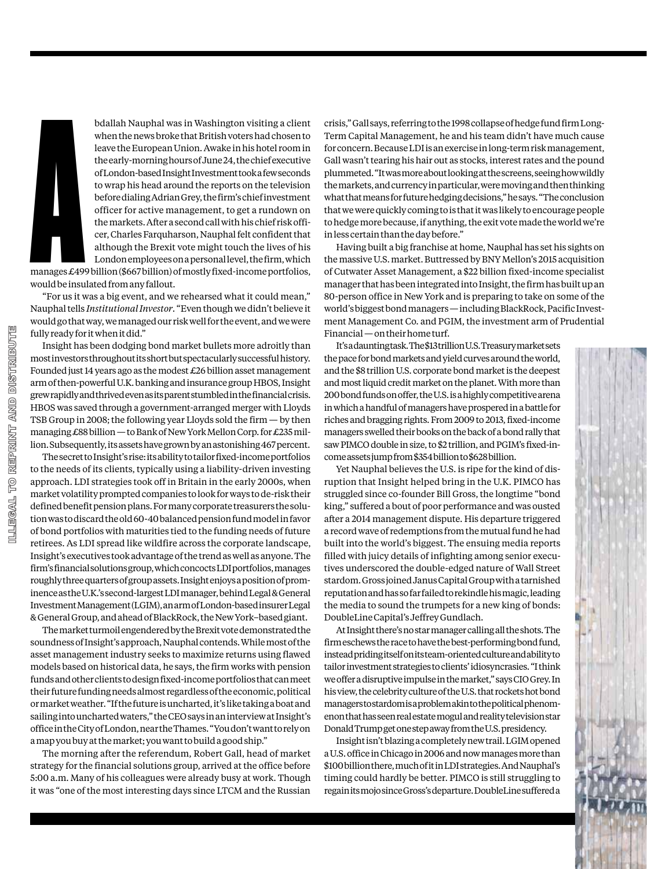

bdallah Nauphal was in Washington visiting a client when the news broke that British voters had chosen to leave the European Union. Awake in his hotel room in the early-morning hours of June 24, the chief executive of London-based Insight Investment took a few seconds to wrap his head around the reports on the television before dialing Adrian Grey, the firm's chief investment officer for active management, to get a rundown on the markets. After a second call with his chief risk officer, Charles Farquharson, Nauphal felt confident that although the Brexit vote might touch the lives of his London employees on a personal level, the firm, which

manages £499billion (\$667billion) of mostly fixed-income portfolios, would be insulated from any fallout.

"For us it was a big event, and we rehearsed what it could mean," Nauphal tells *Institutional Investor*. "Even though we didn't believe it would go that way, we managed our risk well for the event, and we were fully ready for it when it did."

Insight has been dodging bond market bullets more adroitly than most investors throughout its short but spectacularly successful history. Founded just 14 years ago as the modest  $\pounds 26$  billion asset management arm of then-powerful U.K. banking and insurance group HBOS, Insight grew rapidly and thrived even as its parent stumbled in the financial crisis. HBOS was saved through a government-arranged merger with Lloyds TSB Group in 2008; the following year Lloyds sold the firm — by then managing £88 billion — to Bank of New York Mellon Corp. for £235 million. Subsequently, its assets have grown by an astonishing 467 percent.

The secret to Insight's rise: its ability to tailor fixed-income portfolios to the needs of its clients, typically using a liability-driven investing approach. LDI strategies took off in Britain in the early 2000s, when market volatility prompted companies to look for ways to de-risk their defined benefit pension plans. For many corporate treasurers the solution was to discard the old 60-40 balanced pension fund model in favor of bond portfolios with maturities tied to the funding needs of future retirees. As LDI spread like wildfire across the corporate landscape, Insight's executives took advantage of the trend as well as anyone. The firm's financial solutions group, which concocts LDI portfolios, manages roughly three quarters of group assets. Insight enjoys a position of prominence as the U.K.'s second-largest LDI manager, behind Legal & General Investment Management (LGIM), an arm of London-based insurer Legal & General Group, and ahead of BlackRock, the New York–based giant.

The market turmoil engendered by the Brexit vote demonstrated the soundness of Insight's approach, Nauphal contends. While most of the asset management industry seeks to maximize returns using flawed models based on historical data, he says, the firm works with pension funds and other clients to design fixed-income portfolios that can meet their future funding needs almost regardless of the economic, political or market weather. "If the future is uncharted, it's like taking a boat and sailing into uncharted waters," the CEO says in an interview at Insight's office in the City of London, near the Thames. "You don't want to rely on a map you buy at the market; you want to build a good ship."

The morning after the referendum, Robert Gall, head of market strategy for the financial solutions group, arrived at the office before 5:00 a.m. Many of his colleagues were already busy at work. Though it was "one of the most interesting days since LTCM and the Russian

crisis," Gall says, referring to the 1998 collapse of hedge fund firm Long-Term Capital Management, he and his team didn't have much cause for concern. Because LDI is an exercise in long-term risk management, Gall wasn't tearing his hair out as stocks, interest rates and the pound plummeted. "It was more about looking at the screens, seeing how wildly the markets, and currency in particular, were moving and then thinking what that means for future hedging decisions," he says. "The conclusion that we were quickly coming to is that it was likely to encourage people to hedge more because, if anything, the exit vote made the world we're in less certain than the day before."

Having built a big franchise at home, Nauphal has set his sights on the massive U.S. market. Buttressed by BNY Mellon's 2015 acquisition of Cutwater Asset Management, a \$22 billion fixed-income specialist manager that has been integrated into Insight, the firm has built up an 80-person office in New York and is preparing to take on some of the world's biggest bond managers — including BlackRock, Pacific Investment Management Co. and PGIM, the investment arm of Prudential Financial — on their home turf.

It's a daunting task. The \$13trillion U.S. Treasury market sets the pace for bond markets and yield curves around the world, and the \$8 trillion U.S. corporate bond market is the deepest and most liquid credit market on the planet. With more than 200 bond funds on offer, the U.S. is a highly competitive arena in which a handful of managers have prospered in a battle for riches and bragging rights. From 2009 to 2013, fixed-income managers swelled their books on the back of a bond rally that saw PIMCO double in size, to \$2 trillion, and PGIM's fixed-income assets jump from \$354billion to \$628billion.

Yet Nauphal believes the U.S. is ripe for the kind of disruption that Insight helped bring in the U.K. PIMCO has struggled since co-founder Bill Gross, the longtime "bond king," suffered a bout of poor performance and was ousted after a 2014 management dispute. His departure triggered a record wave of redemptions from the mutual fund he had built into the world's biggest. The ensuing media reports filled with juicy details of infighting among senior executives underscored the double-edged nature of Wall Street stardom. Gross joined Janus Capital Group with a tarnished reputation and has so far failed to rekindle his magic, leading the media to sound the trumpets for a new king of bonds: DoubleLine Capital's Jeffrey Gundlach.

At Insight there's no star manager calling all the shots. The firm eschews the race to have the best-performing bond fund, instead priding itself on its team-oriented culture and ability to tailor investment strategies to clients' idiosyncrasies. "I think we offer a disruptive impulse in the market," says CIO Grey. In his view, the celebrity culture of the U.S. that rockets hot bond managers to stardom is a problem akin to the political phenomenon that has seen real estate mogul and reality television star Donald Trump get one step away from the U.S. presidency.

Insight isn't blazing a completely new trail. LGIM opened a U.S. office in Chicago in 2006 and now manages more than \$100billion there, much of it in LDI strategies. And Nauphal's timing could hardly be better. PIMCO is still struggling to regain its mojo since Gross's departure. DoubleLine suffered a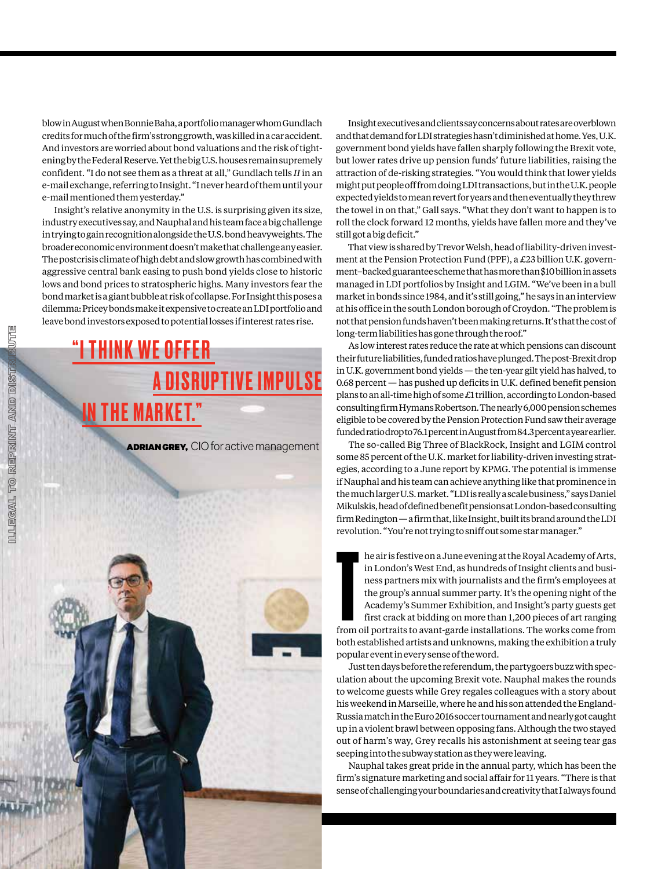blow in August when Bonnie Baha, a portfolio manager whom Gundlach credits for much of the firm's strong growth, was killed in a car accident. And investors are worried about bond valuations and the risk of tightening by the Federal Reserve. Yet the big U.S. houses remain supremely confident. "I do not see them as a threat at all," Gundlach tells *II* in an e-mail exchange, referring to Insight. "I never heard of them until your e-mail mentioned them yesterday."

Insight's relative anonymity in the U.S. is surprising given its size, industry executives say, and Nauphal and his team face a big challenge in trying to gain recognition alongside the U.S. bond heavyweights. The broader economic environment doesn't make that challenge any easier. The postcrisis climate of high debt and slow growth has combined with aggressive central bank easing to push bond yields close to historic lows and bond prices to stratospheric highs. Many investors fear the bond market is a giant bubble at risk of collapse. For Insight this poses a dilemma: Pricey bonds make it expensive to create an LDI portfolio and leave bond investors exposed to potential losses if interest rates rise.

### **THINK WE OFFER A DISRUPTIVE IMPULSE** IN THE MARKET."

**ADRIAN GREY, CIO for active management** 



Insight executives and clients say concerns about rates are overblown and that demand for LDI strategies hasn't diminished at home. Yes, U.K. government bond yields have fallen sharply following the Brexit vote, but lower rates drive up pension funds' future liabilities, raising the attraction of de-risking strategies. "You would think that lower yields might put people off from doing LDI transactions, but in the U.K. people expected yields to mean revert for years and then eventually they threw the towel in on that," Gall says. "What they don't want to happen is to roll the clock forward 12 months, yields have fallen more and they've still got a big deficit."

That view is shared by Trevor Welsh, head of liability-driven investment at the Pension Protection Fund (PPF), a £23 billion U.K. government–backed guarantee scheme that has more than \$10billion in assets managed in LDI portfolios by Insight and LGIM. "We've been in a bull market in bonds since 1984, and it's still going," he says in an interview at his office in the south London borough of Croydon. "The problem is not that pension funds haven't been making returns. It's that the cost of long-term liabilities has gone through the roof."

As low interest rates reduce the rate at which pensions can discount their future liabilities, funded ratios have plunged. The post-Brexit drop in U.K. government bond yields — the ten-year gilt yield has halved, to 0.68 percent — has pushed up deficits in U.K. defined benefit pension plans to an all-time high of some £1 trillion, according to London-based consulting firm Hymans Robertson. The nearly 6,000 pension schemes eligible to be covered by the Pension Protection Fund saw their average funded ratio drop to 76.1 percent in August from 84.3 percent a year earlier.

The so-called Big Three of BlackRock, Insight and LGIM control some 85 percent of the U.K. market for liability-driven investing strategies, according to a June report by KPMG. The potential is immense if Nauphal and his team can achieve anything like that prominence in the much larger U.S. market. "LDI is really a scale business," says Daniel Mikulskis, head of defined benefit pensions at London-based consulting firm Redington — a firm that, like Insight, built its brand around the LDI revolution. "You're not trying to sniff out some star manager."

he air is festive on a June evening at the Royal Academy of Arts, in London's West End, as hundreds of Insight clients and business partners mix with journalists and the firm's employees at the group's annual summer party. he air is festive on a June evening at the Royal Academy of Arts, in London's West End, as hundreds of Insight clients and business partners mix with journalists and the firm's employees at the group's annual summer party. It's the opening night of the Academy's Summer Exhibition, and Insight's party guests get first crack at bidding on more than 1,200 pieces of art ranging both established artists and unknowns, making the exhibition a truly popular event in every sense of the word.

Just ten days before the referendum, the partygoers buzz with speculation about the upcoming Brexit vote. Nauphal makes the rounds to welcome guests while Grey regales colleagues with a story about his weekend in Marseille, where he and his son attended the England-Russia match in the Euro 2016 soccer tournament and nearly got caught up in a violent brawl between opposing fans. Although the two stayed out of harm's way, Grey recalls his astonishment at seeing tear gas seeping into the subway station as they were leaving.

Nauphal takes great pride in the annual party, which has been the firm's signature marketing and social affair for 11 years. "There is that sense of challenging your boundaries and creativity that I always found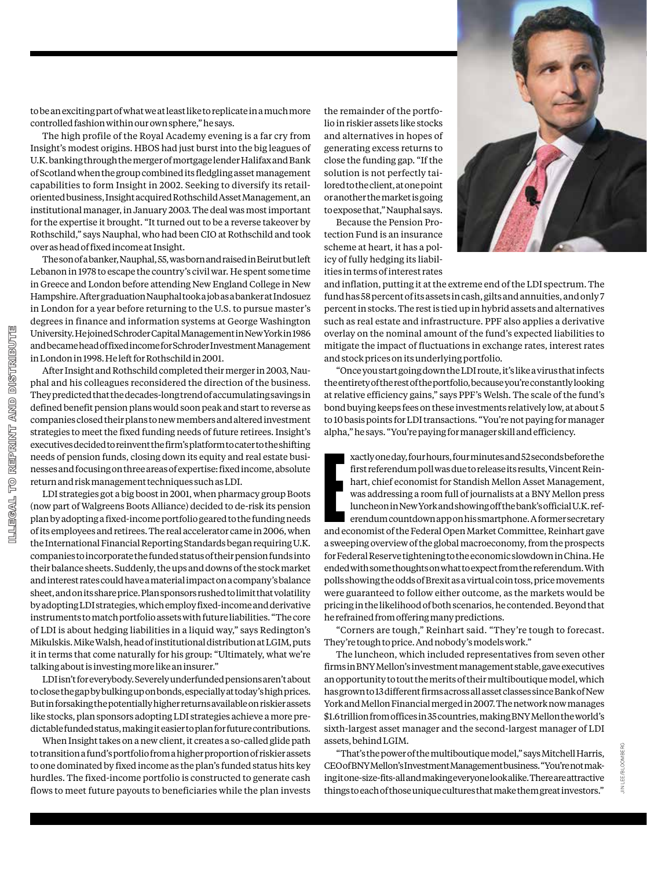

to be an exciting part of what we at least like to replicate in a much more controlled fashion within our own sphere," he says.

The high profile of the Royal Academy evening is a far cry from Insight's modest origins. HBOS had just burst into the big leagues of U.K. banking through the merger of mortgage lender Halifax and Bank of Scotland when the group combined its fledgling asset management capabilities to form Insight in 2002. Seeking to diversify its retailoriented business, Insight acquired Rothschild Asset Management, an institutional manager, in January 2003. The deal was most important for the expertise it brought. "It turned out to be a reverse takeover by Rothschild," says Nauphal, who had been CIO at Rothschild and took over as head of fixed income at Insight.

The son of a banker, Nauphal, 55, was born and raised in Beirut but left Lebanon in 1978 to escape the country's civil war. He spent some time in Greece and London before attending New England College in New Hampshire. After graduation Nauphal took a job as a banker at Indosuez in London for a year before returning to the U.S. to pursue master's degrees in finance and information systems at George Washington University. He joined Schroder Capital Management in New York in 1986 and became head of fixed income for Schroder Investment Management in London in 1998. He left for Rothschild in 2001.

After Insight and Rothschild completed their merger in 2003, Nauphal and his colleagues reconsidered the direction of the business. They predicted that the decades-long trend of accumulating savings in defined benefit pension plans would soon peak and start to reverse as companies closed their plans to new members and altered investment strategies to meet the fixed funding needs of future retirees. Insight's executives decided to reinvent the firm's platform to cater to the shifting needs of pension funds, closing down its equity and real estate businesses and focusing on three areas of expertise: fixed income, absolute return and risk management techniques such as LDI.

LDI strategies got a big boost in 2001, when pharmacy group Boots (now part of Walgreens Boots Alliance) decided to de-risk its pension plan by adopting a fixed-income portfolio geared to the funding needs of its employees and retirees. The real accelerator came in 2006, when the International Financial Reporting Standards began requiring U.K. companies to incorporate the funded status of their pension funds into their balance sheets. Suddenly, the ups and downs of the stock market and interest rates could have a material impact on a company's balance sheet, and on its share price. Plan sponsors rushed to limit that volatility by adopting LDI strategies, which employ fixed-income and derivative instruments to match portfolio assets with future liabilities. "The core of LDI is about hedging liabilities in a liquid way," says Redington's Mikulskis. Mike Walsh, head of institutional distribution at LGIM, puts it in terms that come naturally for his group: "Ultimately, what we're talking about is investing more like an insurer."

LDI isn't for everybody. Severely underfunded pensions aren't about to close the gap by bulking up on bonds, especially at today's high prices. But in forsaking the potentially higher returns available on riskier assets like stocks, plan sponsors adopting LDI strategies achieve a more predictable funded status, making it easier to plan for future contributions.

When Insight takes on a new client, it creates a so-called glide path to transition a fund's portfolio from a higher proportion of riskier assets to one dominated by fixed income as the plan's funded status hits key hurdles. The fixed-income portfolio is constructed to generate cash flows to meet future payouts to beneficiaries while the plan invests

the remainder of the portfolio in riskier assets like stocks and alternatives in hopes of generating excess returns to close the funding gap. "If the solution is not perfectly tailored to the client, at one point or another the market is going to expose that," Nauphal says.

Because the Pension Protection Fund is an insurance scheme at heart, it has a policy of fully hedging its liabilities in terms of interest rates

and inflation, putting it at the extreme end of the LDI spectrum. The fund has 58 percent of its assets in cash, gilts and annuities, and only 7 percent in stocks. The rest is tied up in hybrid assets and alternatives such as real estate and infrastructure. PPF also applies a derivative overlay on the nominal amount of the fund's expected liabilities to mitigate the impact of fluctuations in exchange rates, interest rates and stock prices on its underlying portfolio.

"Once you start going down the LDI route, it's like a virus that infects the entirety of the rest of the portfolio, because you're constantly looking at relative efficiency gains," says PPF's Welsh. The scale of the fund's bond buying keeps fees on these investments relatively low, at about 5 to 10 basis points for LDI transactions. "You're not paying for manager alpha," he says. "You're paying for manager skill and efficiency.

xactly one day, four hours, four minutes and 52 seconds before the<br>first referendum poll was due to release its results, Vincent Reinhart, chief economist for Standish Mellon Asset Management,<br>was addressing a room full of xactly one day, four hours, four minutes and 52 seconds before the first referendum poll was due to release its results, Vincent Reinhart, chief economist for Standish Mellon Asset Management, was addressing a room full of journalists at a BNY Mellon press luncheon in New York and showing off the bank's official U.K. referendum countdown app on his smartphone. A former secretary a sweeping overview of the global macroeconomy, from the prospects for Federal Reserve tightening to the economic slowdown in China. He ended with some thoughts on what to expect from the referendum. With polls showing the odds of Brexit as a virtual coin toss, price movements were guaranteed to follow either outcome, as the markets would be pricing in the likelihood of both scenarios, he contended. Beyond that he refrained from offering many predictions.

"Corners are tough," Reinhart said. "They're tough to forecast. They're tough to price. And nobody's models work."

The luncheon, which included representatives from seven other firms in BNY Mellon's investment management stable, gave executives an opportunity to tout the merits of their multiboutique model, which has grown to 13 different firms across all asset classes since Bank of New York and Mellon Financial merged in 2007. The network now manages \$1.6trillion from offices in 35 countries, making BNY Mellon the world's sixth-largest asset manager and the second-largest manager of LDI assets, behind LGIM.

"That's the power of the multiboutique model," says Mitchell Harris, CEO of BNY Mellon's Investment Management business. "You're not making it one-size-fits-all and making everyone look alike. There are attractive things to each of those unique cultures that make them great investors."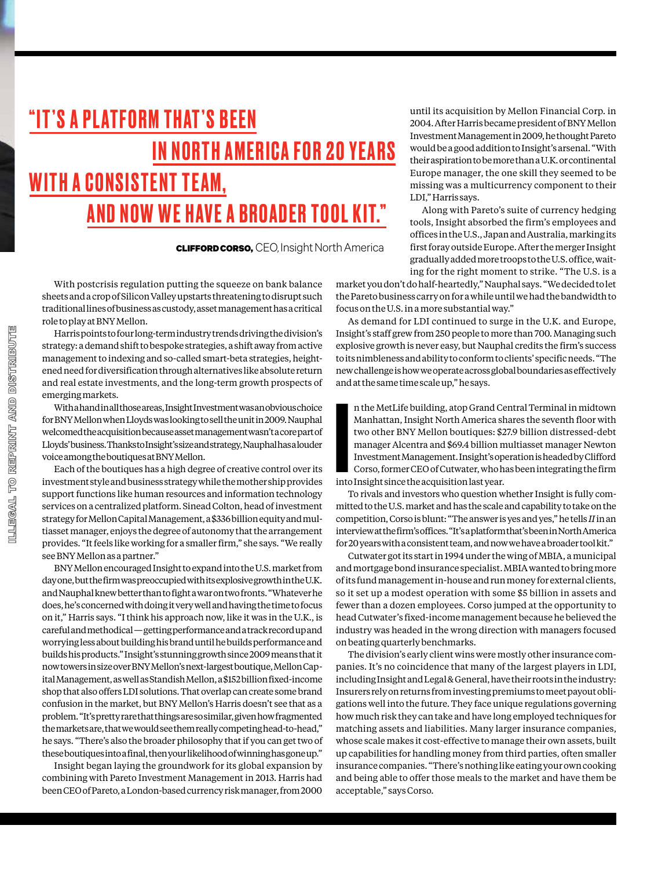### "IT 'S A PL ATFORM THAT 'S BEEN IN NORTH AMERICA FOR 20 YEARS WITH A CONSISTENT TEAM, AND NOW WE HAVE A BROADER TOOL KIT."

CLIFFORD CORSO, CEO, Insight North America

With postcrisis regulation putting the squeeze on bank balance sheets and a crop of Silicon Valley upstarts threatening to disrupt such traditional lines of business as custody, asset management has a critical role to play at BNY Mellon.

Harris points to four long-term industry trends driving the division's strategy: a demand shift to bespoke strategies, a shift away from active management to indexing and so-called smart-beta strategies, heightened need for diversification through alternatives like absolute return and real estate investments, and the long-term growth prospects of emerging markets.

With a hand in all those areas, Insight Investment was an obvious choice for BNY Mellon when Lloyds was looking to sell the unit in 2009. Nauphal welcomed the acquisition because asset management wasn't a core part of Lloyds' business. Thanks to Insight's size and strategy, Nauphal has a louder voice among the boutiques at BNY Mellon.

Each of the boutiques has a high degree of creative control over its investment style and business strategy while the mother ship provides support functions like human resources and information technology services on a centralized platform. Sinead Colton, head of investment strategy for Mellon Capital Management, a \$336billion equity and multiasset manager, enjoys the degree of autonomy that the arrangement provides. "It feels like working for a smaller firm," she says. "We really see BNY Mellon as a partner."

BNY Mellon encouraged Insight to expand into the U.S. market from day one, but the firm was preoccupied with its explosive growth in the U.K. and Nauphal knew better than to fight a war on two fronts. "Whatever he does, he's concerned with doing it very well and having the time to focus on it," Harris says. "I think his approach now, like it was in the U.K., is careful and methodical — getting performance and a track record up and worrying less about building his brand until he builds performance and builds his products." Insight's stunning growth since 2009 means that it now towers in size over BNY Mellon's next-largest boutique, Mellon Capital Management, as well as Standish Mellon, a \$152billion fixed-income shop that also offers LDI solutions. That overlap can create some brand confusion in the market, but BNY Mellon's Harris doesn't see that as a problem. "It's pretty rare that things are so similar, given how fragmented the markets are, that we would see them really competing head-to-head," he says. "There's also the broader philosophy that if you can get two of these boutiques into a final, then your likelihood of winning has gone up."

Insight began laying the groundwork for its global expansion by combining with Pareto Investment Management in 2013. Harris had been CEO of Pareto, a London-based currency risk manager, from 2000 until its acquisition by Mellon Financial Corp. in 2004. After Harris became president of BNY Mellon Investment Management in 2009, he thought Pareto would be a good addition to Insight's arsenal. "With their aspiration to be more than a U.K. or continental Europe manager, the one skill they seemed to be missing was a multicurrency component to their LDI," Harris says.

Along with Pareto's suite of currency hedging tools, Insight absorbed the firm's employees and offices in the U.S., Japan and Australia, marking its first foray outside Europe. After the merger Insight gradually added more troops to the U.S. office, waiting for the right moment to strike. "The U.S. is a

market you don't do half-heartedly," Nauphal says. "We decided to let the Pareto business carry on for a while until we had the bandwidth to focus on the U.S. in a more substantial way."

As demand for LDI continued to surge in the U.K. and Europe, Insight's staff grew from 250 people to more than 700. Managing such explosive growth is never easy, but Nauphal credits the firm's success to its nimbleness and ability to conform to clients' specific needs. "The new challenge is how we operate across global boundaries as effectively and at the same time scale up," he says.

**Inte** n the MetLife building, atop Grand Central Terminal in midtown Manhattan, Insight North America shares the seventh floor with two other BNY Mellon boutiques: \$27.9 billion distressed-debt manager Alcentra and \$69.4 billion multiasset manager Newton Investment Management. Insight's operation is headed by Clifford Corso, former CEO of Cutwater, who has been integrating the firm into Insight since the acquisition last year.

To rivals and investors who question whether Insight is fully committed to the U.S. market and has the scale and capability to take on the competition, Corso is blunt: "The answer is yes and yes," he tells *II* in an interview at the firm's offices. "It's a platform that's been in North America for 20 years with a consistent team, and now we have a broader tool kit."

Cutwater got its start in 1994 under the wing of MBIA, a municipal and mortgage bond insurance specialist. MBIA wanted to bring more of its fund management in-house and run money for external clients, so it set up a modest operation with some \$5 billion in assets and fewer than a dozen employees. Corso jumped at the opportunity to head Cutwater's fixed-income management because he believed the industry was headed in the wrong direction with managers focused on beating quarterly benchmarks.

The division's early client wins were mostly other insurance companies. It's no coincidence that many of the largest players in LDI, including Insight and Legal & General, have their roots in the industry: Insurers rely on returns from investing premiums to meet payout obligations well into the future. They face unique regulations governing how much risk they can take and have long employed techniques for matching assets and liabilities. Many larger insurance companies, whose scale makes it cost-effective to manage their own assets, built up capabilities for handling money from third parties, often smaller insurance companies. "There's nothing like eating your own cooking and being able to offer those meals to the market and have them be acceptable," says Corso.